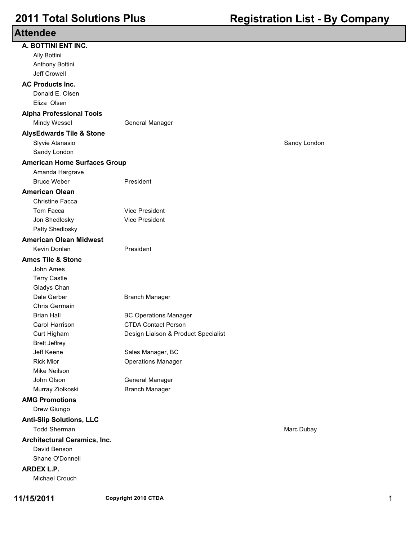| <b>Attendee</b>                     |                                     |              |
|-------------------------------------|-------------------------------------|--------------|
| A. BOTTINI ENT INC.                 |                                     |              |
| Ally Bottini                        |                                     |              |
| Anthony Bottini                     |                                     |              |
| <b>Jeff Crowell</b>                 |                                     |              |
| <b>AC Products Inc.</b>             |                                     |              |
| Donald E. Olsen                     |                                     |              |
| Eliza Olsen                         |                                     |              |
| <b>Alpha Professional Tools</b>     |                                     |              |
| Mindy Wessel                        | General Manager                     |              |
| <b>AlysEdwards Tile &amp; Stone</b> |                                     |              |
| Slyvie Atanasio                     |                                     | Sandy London |
| Sandy London                        |                                     |              |
| <b>American Home Surfaces Group</b> |                                     |              |
| Amanda Hargrave                     |                                     |              |
| <b>Bruce Weber</b>                  | President                           |              |
| <b>American Olean</b>               |                                     |              |
| <b>Christine Facca</b>              |                                     |              |
| Tom Facca                           | <b>Vice President</b>               |              |
| Jon Shedlosky                       | Vice President                      |              |
| Patty Shedlosky                     |                                     |              |
| <b>American Olean Midwest</b>       |                                     |              |
| Kevin Donlan                        | President                           |              |
| <b>Ames Tile &amp; Stone</b>        |                                     |              |
| John Ames                           |                                     |              |
| <b>Terry Castle</b>                 |                                     |              |
| Gladys Chan                         |                                     |              |
| Dale Gerber                         | <b>Branch Manager</b>               |              |
| Chris Germain                       |                                     |              |
| <b>Brian Hall</b>                   | <b>BC Operations Manager</b>        |              |
| Carol Harrison                      | <b>CTDA Contact Person</b>          |              |
| Curt Higham                         | Design Liaison & Product Specialist |              |
| <b>Brett Jeffrey</b>                |                                     |              |
| Jeff Keene                          | Sales Manager, BC                   |              |
| <b>Rick Mior</b>                    | <b>Operations Manager</b>           |              |
| <b>Mike Neilson</b>                 |                                     |              |
| John Olson                          | General Manager                     |              |
| Murray Ziolkoski                    | <b>Branch Manager</b>               |              |
| <b>AMG Promotions</b>               |                                     |              |
| Drew Giungo                         |                                     |              |
| <b>Anti-Slip Solutions, LLC</b>     |                                     |              |
| <b>Todd Sherman</b>                 |                                     | Marc Dubay   |
| <b>Architectural Ceramics, Inc.</b> |                                     |              |
| David Benson                        |                                     |              |
| Shane O'Donnell                     |                                     |              |
| <b>ARDEX L.P.</b>                   |                                     |              |
| Michael Crouch                      |                                     |              |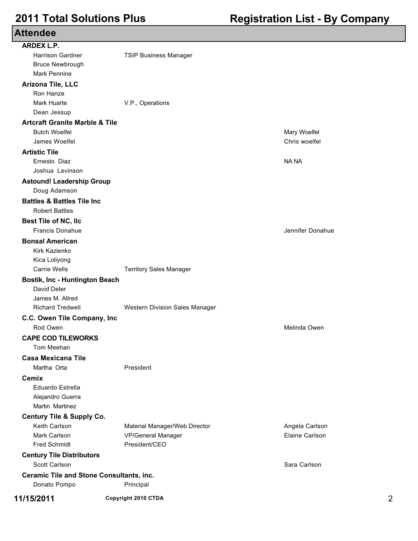### **Attendee ARDEX L.P.** Harrison Gardner TSIP Business Manager Bruce Newbrough Mark Pennine **Arizona Tile, LLC** Ron Hanze Mark Huarte **V.P., Operations** Dean Jessup **Artcraft Granite Marble & Tile** Butch Woelfel Mary Woelfel James Woelfel Chris woelfel **Artistic Tile** Ernesto Diaz NA NA Joshua Levinson **Astound! Leadership Group** Doug Adamson **Battles & Battles Tile Inc** Robert Battles **Best Tile of NC, llc** Francis Donahue Jennifer Donahue Jennifer Donahue Jennifer Donahue **Bonsal American** Kirk Kazienko Kica Loliyong Carrie Wells **Territory Sales Manager Bostik, Inc - Huntington Beach** David Deter James M. Allred Richard Tredwell Western Division Sales Manager **C.C. Owen Tile Company, Inc** Rod Owen **Melinda Owen** Melinda Owen **Melinda Owen** Melinda Owen Melinda Owen Melinda Owen Melinda Owen Melinda Owen Melinda Owen Melinda Owen Melinda Owen Melinda Owen Melinda Owen Melinda Owen Melinda Owen Melinda Owen M **CAPE COD TILEWORKS** Tom Meehan **Casa Mexicana Tile** Martha Orta **President Cemix** Eduardo Estrella Alejandro Guerra Martin Martinez **Century Tile & Supply Co.** Keith Carlson **Material Manager/Web Director** Angela Carlson Angela Carlson Mark Carlson VP/General Manager Elaine Carlson Fred Schmidt President/CEO **Century Tile Distributors** Scott Carlson Sara Carlson Sara Carlson Sara Carlson Sara Carlson Sara Carlson Sara Carlson Sara Carlson Sara Carlson Sara Carlson Sara Carlson Sara Carlson Sara Carlson Sara Carlson Sara Carlson Sara Carlson Sara Carlson **Ceramic Tile and Stone Consultants, inc.** Donato Pompo Principal **11/15/2011 Copyright 2010 CTDA** 2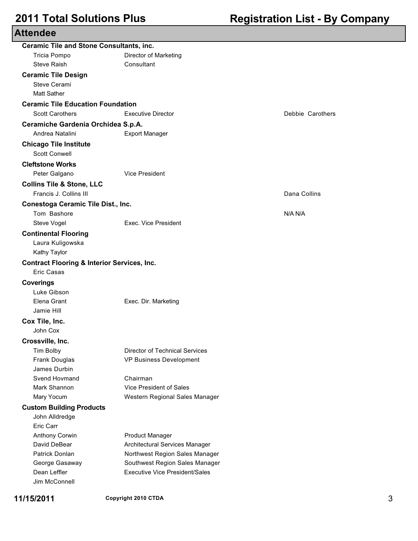| <b>Attendee</b>                                        |                                                                         |                  |   |
|--------------------------------------------------------|-------------------------------------------------------------------------|------------------|---|
| <b>Ceramic Tile and Stone Consultants, inc.</b>        |                                                                         |                  |   |
| Tricia Pompo                                           | Director of Marketing                                                   |                  |   |
| <b>Steve Raish</b>                                     | Consultant                                                              |                  |   |
| <b>Ceramic Tile Design</b>                             |                                                                         |                  |   |
| Steve Cerami                                           |                                                                         |                  |   |
| <b>Matt Sather</b>                                     |                                                                         |                  |   |
| <b>Ceramic Tile Education Foundation</b>               |                                                                         |                  |   |
| <b>Scott Carothers</b>                                 | <b>Executive Director</b>                                               | Debbie Carothers |   |
| Ceramiche Gardenia Orchidea S.p.A.                     |                                                                         |                  |   |
| Andrea Natalini                                        | <b>Export Manager</b>                                                   |                  |   |
| <b>Chicago Tile Institute</b>                          |                                                                         |                  |   |
| <b>Scott Conwell</b>                                   |                                                                         |                  |   |
| <b>Cleftstone Works</b>                                |                                                                         |                  |   |
| Peter Galgano                                          | <b>Vice President</b>                                                   |                  |   |
| <b>Collins Tile &amp; Stone, LLC</b>                   |                                                                         |                  |   |
| Francis J. Collins III                                 |                                                                         | Dana Collins     |   |
| Conestoga Ceramic Tile Dist., Inc.                     |                                                                         |                  |   |
| Tom Bashore                                            |                                                                         | N/A N/A          |   |
| Steve Vogel                                            | Exec. Vice President                                                    |                  |   |
| <b>Continental Flooring</b>                            |                                                                         |                  |   |
| Laura Kuligowska                                       |                                                                         |                  |   |
| Kathy Taylor                                           |                                                                         |                  |   |
| <b>Contract Flooring &amp; Interior Services, Inc.</b> |                                                                         |                  |   |
| Eric Casas                                             |                                                                         |                  |   |
| <b>Coverings</b>                                       |                                                                         |                  |   |
| Luke Gibson                                            |                                                                         |                  |   |
| Elena Grant                                            | Exec. Dir. Marketing                                                    |                  |   |
| Jamie Hill                                             |                                                                         |                  |   |
| Cox Tile, Inc.                                         |                                                                         |                  |   |
| John Cox                                               |                                                                         |                  |   |
| Crossville, Inc.                                       |                                                                         |                  |   |
| Tim Bolby                                              | <b>Director of Technical Services</b>                                   |                  |   |
| Frank Douglas                                          | VP Business Development                                                 |                  |   |
| James Durbin                                           |                                                                         |                  |   |
| Svend Hovmand                                          | Chairman                                                                |                  |   |
| Mark Shannon                                           | Vice President of Sales                                                 |                  |   |
| Mary Yocum                                             | Western Regional Sales Manager                                          |                  |   |
| <b>Custom Building Products</b>                        |                                                                         |                  |   |
| John Alldredge                                         |                                                                         |                  |   |
| Eric Carr                                              |                                                                         |                  |   |
| Anthony Corwin                                         | <b>Product Manager</b>                                                  |                  |   |
| David DeBear                                           | Architectural Services Manager                                          |                  |   |
| Patrick Donlan                                         | Northwest Region Sales Manager                                          |                  |   |
| George Gasaway<br>Dean Leffler                         | Southwest Region Sales Manager<br><b>Executive Vice President/Sales</b> |                  |   |
| Jim McConnell                                          |                                                                         |                  |   |
|                                                        |                                                                         |                  |   |
| 11/15/2011                                             | Copyright 2010 CTDA                                                     |                  | 3 |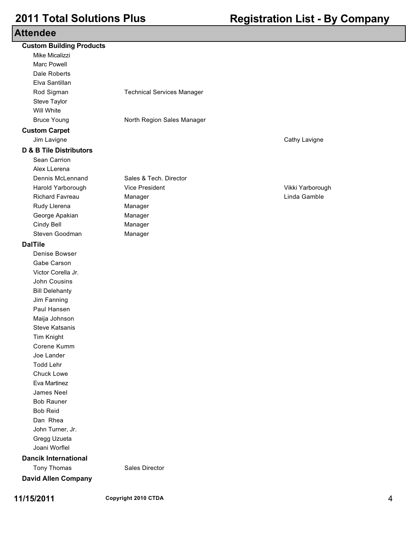| <b>Attendee</b> |  |  |  |  |  |  |  |
|-----------------|--|--|--|--|--|--|--|
|-----------------|--|--|--|--|--|--|--|

| Allendee                           |                                   |                  |   |
|------------------------------------|-----------------------------------|------------------|---|
| <b>Custom Building Products</b>    |                                   |                  |   |
| Mike Micalizzi                     |                                   |                  |   |
| <b>Marc Powell</b>                 |                                   |                  |   |
| Dale Roberts                       |                                   |                  |   |
| Elva Santillan                     |                                   |                  |   |
| Rod Sigman                         | <b>Technical Services Manager</b> |                  |   |
| Steve Taylor                       |                                   |                  |   |
| Will White                         |                                   |                  |   |
| <b>Bruce Young</b>                 | North Region Sales Manager        |                  |   |
| <b>Custom Carpet</b>               |                                   |                  |   |
| Jim Lavigne                        |                                   | Cathy Lavigne    |   |
| <b>D &amp; B Tile Distributors</b> |                                   |                  |   |
| Sean Carrion                       |                                   |                  |   |
| Alex LLerena                       |                                   |                  |   |
| Dennis McLennand                   | Sales & Tech. Director            |                  |   |
| Harold Yarborough                  | <b>Vice President</b>             | Vikki Yarborough |   |
| <b>Richard Favreau</b>             | Manager                           | Linda Gamble     |   |
| Rudy Llerena                       | Manager                           |                  |   |
| George Apakian                     | Manager                           |                  |   |
| Cindy Bell                         | Manager                           |                  |   |
| Steven Goodman                     | Manager                           |                  |   |
| <b>DalTile</b>                     |                                   |                  |   |
| Denise Bowser                      |                                   |                  |   |
| Gabe Carson                        |                                   |                  |   |
| Victor Corella Jr.                 |                                   |                  |   |
| John Cousins                       |                                   |                  |   |
| <b>Bill Delehanty</b>              |                                   |                  |   |
| Jim Fanning                        |                                   |                  |   |
| Paul Hansen                        |                                   |                  |   |
| Maija Johnson                      |                                   |                  |   |
| <b>Steve Katsanis</b>              |                                   |                  |   |
| Tim Knight                         |                                   |                  |   |
| Corene Kumm                        |                                   |                  |   |
| Joe Lander                         |                                   |                  |   |
| <b>Todd Lehr</b>                   |                                   |                  |   |
| Chuck Lowe                         |                                   |                  |   |
| Eva Martinez                       |                                   |                  |   |
| James Neel                         |                                   |                  |   |
| <b>Bob Rauner</b>                  |                                   |                  |   |
| <b>Bob Reid</b>                    |                                   |                  |   |
| Dan Rhea                           |                                   |                  |   |
| John Turner, Jr.                   |                                   |                  |   |
| Gregg Uzueta                       |                                   |                  |   |
| Joani Worflel                      |                                   |                  |   |
| <b>Dancik International</b>        |                                   |                  |   |
| Tony Thomas                        | Sales Director                    |                  |   |
| <b>David Allen Company</b>         |                                   |                  |   |
|                                    |                                   |                  |   |
| 11/15/2011                         | Copyright 2010 CTDA               |                  | 4 |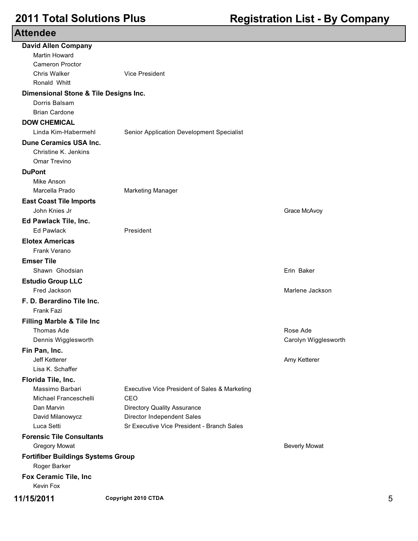| <b>Attendee</b>                           |                                               |                      |   |
|-------------------------------------------|-----------------------------------------------|----------------------|---|
| <b>David Allen Company</b>                |                                               |                      |   |
| Martin Howard                             |                                               |                      |   |
| <b>Cameron Proctor</b>                    |                                               |                      |   |
| <b>Chris Walker</b>                       | <b>Vice President</b>                         |                      |   |
| Ronald Whitt                              |                                               |                      |   |
| Dimensional Stone & Tile Designs Inc.     |                                               |                      |   |
| Dorris Balsam                             |                                               |                      |   |
| <b>Brian Cardone</b>                      |                                               |                      |   |
| <b>DOW CHEMICAL</b>                       |                                               |                      |   |
| Linda Kim-Habermehl                       | Senior Application Development Specialist     |                      |   |
| <b>Dune Ceramics USA Inc.</b>             |                                               |                      |   |
| Christine K. Jenkins                      |                                               |                      |   |
| Omar Trevino                              |                                               |                      |   |
| <b>DuPont</b>                             |                                               |                      |   |
| Mike Anson                                |                                               |                      |   |
| Marcella Prado                            | <b>Marketing Manager</b>                      |                      |   |
| <b>East Coast Tile Imports</b>            |                                               |                      |   |
| John Knies Jr                             |                                               | Grace McAvoy         |   |
| Ed Pawlack Tile, Inc.                     |                                               |                      |   |
| <b>Ed Pawlack</b>                         | President                                     |                      |   |
| <b>Elotex Americas</b>                    |                                               |                      |   |
| Frank Verano                              |                                               |                      |   |
| <b>Emser Tile</b>                         |                                               |                      |   |
| Shawn Ghodsian                            |                                               | Erin Baker           |   |
| <b>Estudio Group LLC</b>                  |                                               |                      |   |
| Fred Jackson                              |                                               | Marlene Jackson      |   |
| F. D. Berardino Tile Inc.                 |                                               |                      |   |
| <b>Frank Fazi</b>                         |                                               |                      |   |
| <b>Filling Marble &amp; Tile Inc</b>      |                                               |                      |   |
| <b>Thomas Ade</b>                         |                                               | Rose Ade             |   |
| Dennis Wigglesworth                       |                                               | Carolyn Wigglesworth |   |
| Fin Pan, Inc.                             |                                               |                      |   |
| <b>Jeff Ketterer</b>                      |                                               | Amy Ketterer         |   |
| Lisa K. Schaffer                          |                                               |                      |   |
| Florida Tile, Inc.                        |                                               |                      |   |
| Massimo Barbari                           | Executive Vice President of Sales & Marketing |                      |   |
| Michael Franceschelli                     | CEO                                           |                      |   |
| Dan Marvin                                | <b>Directory Quality Assurance</b>            |                      |   |
| David Milanowycz                          | Director Independent Sales                    |                      |   |
| Luca Setti                                | Sr Executive Vice President - Branch Sales    |                      |   |
| <b>Forensic Tile Consultants</b>          |                                               |                      |   |
| <b>Gregory Mowat</b>                      |                                               | <b>Beverly Mowat</b> |   |
| <b>Fortifiber Buildings Systems Group</b> |                                               |                      |   |
| Roger Barker                              |                                               |                      |   |
| Fox Ceramic Tile, Inc                     |                                               |                      |   |
| Kevin Fox                                 |                                               |                      |   |
| 11/15/2011                                | Copyright 2010 CTDA                           |                      | 5 |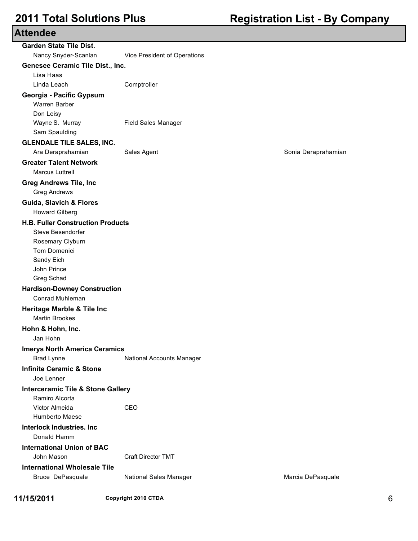| <b>Attendee</b> |
|-----------------|
|-----------------|

| <b>Garden State Tile Dist.</b>                          |                              |                     |
|---------------------------------------------------------|------------------------------|---------------------|
| Nancy Snyder-Scanlan                                    | Vice President of Operations |                     |
| Genesee Ceramic Tile Dist., Inc.                        |                              |                     |
| Lisa Haas                                               |                              |                     |
| Linda Leach                                             | Comptroller                  |                     |
| Georgia - Pacific Gypsum                                |                              |                     |
| Warren Barber                                           |                              |                     |
| Don Leisy                                               |                              |                     |
| Wayne S. Murray                                         | <b>Field Sales Manager</b>   |                     |
| Sam Spaulding                                           |                              |                     |
| <b>GLENDALE TILE SALES, INC.</b><br>Ara Deraprahamian   |                              |                     |
|                                                         | Sales Agent                  | Sonia Deraprahamian |
| <b>Greater Talent Network</b><br><b>Marcus Luttrell</b> |                              |                     |
| <b>Greg Andrews Tile, Inc</b>                           |                              |                     |
| <b>Greg Andrews</b>                                     |                              |                     |
| <b>Guida, Slavich &amp; Flores</b>                      |                              |                     |
| <b>Howard Gilberg</b>                                   |                              |                     |
| <b>H.B. Fuller Construction Products</b>                |                              |                     |
| Steve Besendorfer                                       |                              |                     |
| Rosemary Clyburn                                        |                              |                     |
| Tom Domenici                                            |                              |                     |
| Sandy Eich                                              |                              |                     |
| John Prince                                             |                              |                     |
| Greg Schad                                              |                              |                     |
| <b>Hardison-Downey Construction</b>                     |                              |                     |
| Conrad Muhleman                                         |                              |                     |
| <b>Heritage Marble &amp; Tile Inc</b>                   |                              |                     |
| <b>Martin Brookes</b>                                   |                              |                     |
| Hohn & Hohn, Inc.                                       |                              |                     |
| Jan Hohn                                                |                              |                     |
| <b>Imerys North America Ceramics</b>                    |                              |                     |
| <b>Brad Lynne</b>                                       | National Accounts Manager    |                     |
| <b>Infinite Ceramic &amp; Stone</b>                     |                              |                     |
| Joe Lenner                                              |                              |                     |
| <b>Interceramic Tile &amp; Stone Gallery</b>            |                              |                     |
| Ramiro Alcorta                                          |                              |                     |
| Victor Almeida                                          | CFO                          |                     |
| Humberto Maese                                          |                              |                     |
| <b>Interlock Industries. Inc</b><br>Donald Hamm         |                              |                     |
| <b>International Union of BAC</b>                       |                              |                     |
| John Mason                                              | <b>Craft Director TMT</b>    |                     |
| <b>International Wholesale Tile</b>                     |                              |                     |
| Bruce DePasquale                                        | National Sales Manager       | Marcia DePasquale   |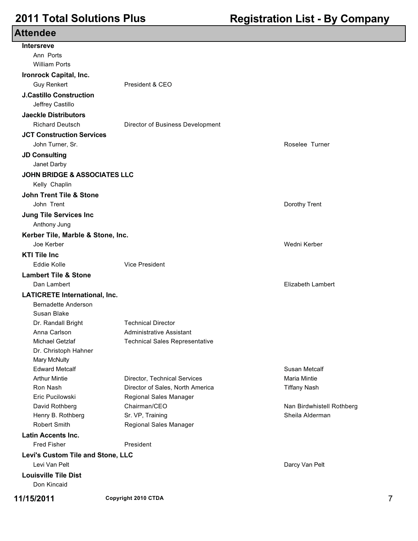| <b>Attendee</b>                         |                                       |                           |   |
|-----------------------------------------|---------------------------------------|---------------------------|---|
| <b>Intersreve</b>                       |                                       |                           |   |
| Ann Ports                               |                                       |                           |   |
| <b>William Ports</b>                    |                                       |                           |   |
| <b>Ironrock Capital, Inc.</b>           |                                       |                           |   |
| <b>Guy Renkert</b>                      | President & CEO                       |                           |   |
| <b>J.Castillo Construction</b>          |                                       |                           |   |
| Jeffrey Castillo                        |                                       |                           |   |
| <b>Jaeckle Distributors</b>             |                                       |                           |   |
| <b>Richard Deutsch</b>                  | Director of Business Development      |                           |   |
| <b>JCT Construction Services</b>        |                                       |                           |   |
| John Turner, Sr.                        |                                       | Roselee Turner            |   |
| <b>JD Consulting</b>                    |                                       |                           |   |
| Janet Darby                             |                                       |                           |   |
| <b>JOHN BRIDGE &amp; ASSOCIATES LLC</b> |                                       |                           |   |
| Kelly Chaplin                           |                                       |                           |   |
| <b>John Trent Tile &amp; Stone</b>      |                                       |                           |   |
| John Trent                              |                                       | Dorothy Trent             |   |
| <b>Jung Tile Services Inc</b>           |                                       |                           |   |
| Anthony Jung                            |                                       |                           |   |
| Kerber Tile, Marble & Stone, Inc.       |                                       |                           |   |
| Joe Kerber                              |                                       | Wedni Kerber              |   |
| <b>KTI Tile Inc</b>                     |                                       |                           |   |
| <b>Eddie Kolle</b>                      | <b>Vice President</b>                 |                           |   |
| <b>Lambert Tile &amp; Stone</b>         |                                       |                           |   |
| Dan Lambert                             |                                       | <b>Elizabeth Lambert</b>  |   |
| <b>LATICRETE International, Inc.</b>    |                                       |                           |   |
| <b>Bernadette Anderson</b>              |                                       |                           |   |
| Susan Blake                             |                                       |                           |   |
| Dr. Randall Bright                      | <b>Technical Director</b>             |                           |   |
| Anna Carlson                            | Administrative Assistant              |                           |   |
| Michael Getzlaf                         | <b>Technical Sales Representative</b> |                           |   |
| Dr. Christoph Hahner                    |                                       |                           |   |
| Mary McNulty                            |                                       |                           |   |
| <b>Edward Metcalf</b>                   |                                       | Susan Metcalf             |   |
| <b>Arthur Mintie</b>                    | Director, Technical Services          | <b>Maria Mintie</b>       |   |
| Ron Nash                                | Director of Sales, North America      | <b>Tiffany Nash</b>       |   |
| Eric Pucilowski                         | Regional Sales Manager                |                           |   |
| David Rothberg                          | Chairman/CEO                          | Nan Birdwhistell Rothberg |   |
| Henry B. Rothberg                       | Sr. VP, Training                      | Sheila Alderman           |   |
| Robert Smith                            | Regional Sales Manager                |                           |   |
| <b>Latin Accents Inc.</b>               |                                       |                           |   |
| <b>Fred Fisher</b>                      | President                             |                           |   |
| Levi's Custom Tile and Stone, LLC       |                                       |                           |   |
| Levi Van Pelt                           |                                       | Darcy Van Pelt            |   |
| <b>Louisville Tile Dist</b>             |                                       |                           |   |
| Don Kincaid                             |                                       |                           |   |
| 11/15/2011                              | Copyright 2010 CTDA                   |                           | 7 |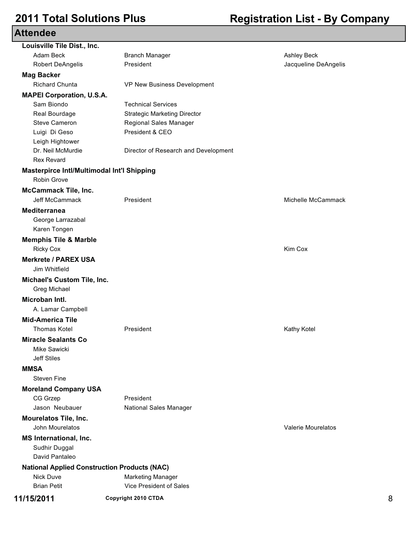| <b>Attendee</b> |  |  |
|-----------------|--|--|
|-----------------|--|--|

| Louisville Tile Dist., Inc.                         |                                      |                           |   |
|-----------------------------------------------------|--------------------------------------|---------------------------|---|
| Adam Beck                                           | <b>Branch Manager</b>                | Ashley Beck               |   |
| <b>Robert DeAngelis</b>                             | President                            | Jacqueline DeAngelis      |   |
| <b>Mag Backer</b>                                   |                                      |                           |   |
| <b>Richard Chunta</b>                               | VP New Business Development          |                           |   |
| <b>MAPEI Corporation, U.S.A.</b>                    |                                      |                           |   |
| Sam Biondo                                          | <b>Technical Services</b>            |                           |   |
| Real Bourdage                                       | <b>Strategic Marketing Director</b>  |                           |   |
| Steve Cameron                                       | Regional Sales Manager               |                           |   |
| Luigi Di Geso                                       | President & CEO                      |                           |   |
| Leigh Hightower                                     |                                      |                           |   |
| Dr. Neil McMurdie                                   | Director of Research and Development |                           |   |
| <b>Rex Revard</b>                                   |                                      |                           |   |
| Masterpirce Intl/Multimodal Int'l Shipping          |                                      |                           |   |
| Robin Grove                                         |                                      |                           |   |
| <b>McCammack Tile, Inc.</b>                         |                                      |                           |   |
| Jeff McCammack                                      | President                            | Michelle McCammack        |   |
| <b>Mediterranea</b>                                 |                                      |                           |   |
| George Larrazabal                                   |                                      |                           |   |
| Karen Tongen                                        |                                      |                           |   |
| <b>Memphis Tile &amp; Marble</b>                    |                                      |                           |   |
| <b>Ricky Cox</b>                                    |                                      | Kim Cox                   |   |
| <b>Merkrete / PAREX USA</b>                         |                                      |                           |   |
| Jim Whitfield                                       |                                      |                           |   |
| Michael's Custom Tile, Inc.                         |                                      |                           |   |
| Greg Michael                                        |                                      |                           |   |
| Microban Intl.                                      |                                      |                           |   |
| A. Lamar Campbell                                   |                                      |                           |   |
| <b>Mid-America Tile</b>                             |                                      |                           |   |
| <b>Thomas Kotel</b>                                 | President                            | Kathy Kotel               |   |
| <b>Miracle Sealants Co</b>                          |                                      |                           |   |
|                                                     |                                      |                           |   |
| Mike Sawicki<br><b>Jeff Stiles</b>                  |                                      |                           |   |
|                                                     |                                      |                           |   |
| <b>MMSA</b>                                         |                                      |                           |   |
| <b>Steven Fine</b>                                  |                                      |                           |   |
| <b>Moreland Company USA</b>                         |                                      |                           |   |
| CG Grzep                                            | President                            |                           |   |
| Jason Neubauer                                      | National Sales Manager               |                           |   |
| <b>Mourelatos Tile, Inc.</b>                        |                                      |                           |   |
| John Mourelatos                                     |                                      | <b>Valerie Mourelatos</b> |   |
| <b>MS International, Inc.</b>                       |                                      |                           |   |
| Sudhir Duggal                                       |                                      |                           |   |
| David Pantaleo                                      |                                      |                           |   |
| <b>National Applied Construction Products (NAC)</b> |                                      |                           |   |
| <b>Nick Duve</b>                                    | <b>Marketing Manager</b>             |                           |   |
| <b>Brian Petit</b>                                  | Vice President of Sales              |                           |   |
| 11/15/2011                                          | Copyright 2010 CTDA                  |                           | 8 |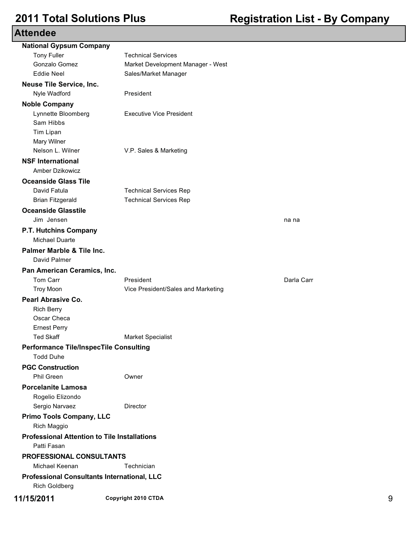| <b>National Gypsum Company</b>                                      |                                    |            |   |
|---------------------------------------------------------------------|------------------------------------|------------|---|
| <b>Tony Fuller</b>                                                  | <b>Technical Services</b>          |            |   |
| Gonzalo Gomez                                                       | Market Development Manager - West  |            |   |
| <b>Eddie Neel</b>                                                   | Sales/Market Manager               |            |   |
| <b>Neuse Tile Service, Inc.</b>                                     |                                    |            |   |
| Nyle Wadford                                                        | President                          |            |   |
| <b>Noble Company</b>                                                |                                    |            |   |
| Lynnette Bloomberg                                                  | <b>Executive Vice President</b>    |            |   |
| Sam Hibbs                                                           |                                    |            |   |
| Tim Lipan                                                           |                                    |            |   |
| Mary Wilner                                                         |                                    |            |   |
| Nelson L. Wilner                                                    | V.P. Sales & Marketing             |            |   |
| <b>NSF International</b>                                            |                                    |            |   |
| Amber Dzikowicz                                                     |                                    |            |   |
| <b>Oceanside Glass Tile</b>                                         |                                    |            |   |
| David Fatula                                                        | <b>Technical Services Rep</b>      |            |   |
| <b>Brian Fitzgerald</b>                                             | <b>Technical Services Rep</b>      |            |   |
| <b>Oceanside Glasstile</b>                                          |                                    |            |   |
| Jim Jensen                                                          |                                    | na na      |   |
| P.T. Hutchins Company                                               |                                    |            |   |
| <b>Michael Duarte</b>                                               |                                    |            |   |
| Palmer Marble & Tile Inc.                                           |                                    |            |   |
| David Palmer                                                        |                                    |            |   |
| Pan American Ceramics, Inc.                                         |                                    |            |   |
| Tom Carr                                                            | President                          | Darla Carr |   |
| <b>Troy Moon</b>                                                    | Vice President/Sales and Marketing |            |   |
| <b>Pearl Abrasive Co.</b>                                           |                                    |            |   |
| <b>Rich Berry</b>                                                   |                                    |            |   |
| Oscar Checa                                                         |                                    |            |   |
| <b>Ernest Perry</b>                                                 |                                    |            |   |
| <b>Ted Skaff</b>                                                    | <b>Market Specialist</b>           |            |   |
| <b>Performance Tile/InspecTile Consulting</b>                       |                                    |            |   |
| <b>Todd Duhe</b>                                                    |                                    |            |   |
| <b>PGC Construction</b>                                             |                                    |            |   |
| Phil Green                                                          | Owner                              |            |   |
| <b>Porcelanite Lamosa</b>                                           |                                    |            |   |
| Rogelio Elizondo                                                    |                                    |            |   |
| Sergio Narvaez                                                      | Director                           |            |   |
| <b>Primo Tools Company, LLC</b>                                     |                                    |            |   |
| Rich Maggio                                                         |                                    |            |   |
| <b>Professional Attention to Tile Installations</b>                 |                                    |            |   |
| Patti Fasan                                                         |                                    |            |   |
| PROFESSIONAL CONSULTANTS                                            |                                    |            |   |
| Michael Keenan                                                      | Technician                         |            |   |
|                                                                     |                                    |            |   |
| Professional Consultants International, LLC<br><b>Rich Goldberg</b> |                                    |            |   |
| 11/15/2011                                                          | Copyright 2010 CTDA                |            | 9 |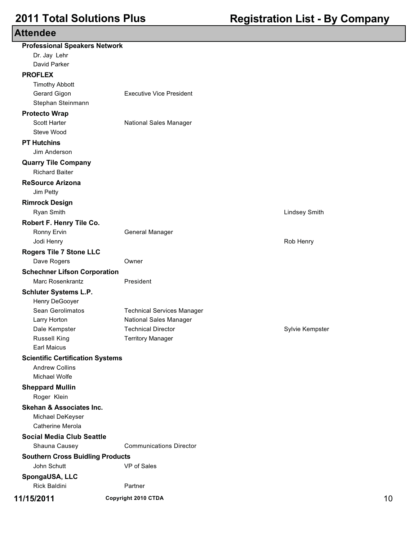| <b>Professional Speakers Network</b>    |                                   |                      |    |
|-----------------------------------------|-----------------------------------|----------------------|----|
| Dr. Jay Lehr                            |                                   |                      |    |
| David Parker                            |                                   |                      |    |
| <b>PROFLEX</b>                          |                                   |                      |    |
| <b>Timothy Abbott</b>                   |                                   |                      |    |
| Gerard Gigon                            | <b>Executive Vice President</b>   |                      |    |
| Stephan Steinmann                       |                                   |                      |    |
| <b>Protecto Wrap</b>                    |                                   |                      |    |
| Scott Harter                            | National Sales Manager            |                      |    |
| Steve Wood                              |                                   |                      |    |
| <b>PT Hutchins</b>                      |                                   |                      |    |
| Jim Anderson                            |                                   |                      |    |
| <b>Quarry Tile Company</b>              |                                   |                      |    |
| <b>Richard Baiter</b>                   |                                   |                      |    |
| <b>ReSource Arizona</b>                 |                                   |                      |    |
| Jim Petty                               |                                   |                      |    |
| <b>Rimrock Design</b>                   |                                   |                      |    |
| Ryan Smith                              |                                   | <b>Lindsey Smith</b> |    |
| Robert F. Henry Tile Co.                |                                   |                      |    |
| Ronny Ervin                             | General Manager                   |                      |    |
| Jodi Henry                              |                                   | Rob Henry            |    |
| <b>Rogers Tile 7 Stone LLC</b>          |                                   |                      |    |
| Dave Rogers                             | Owner                             |                      |    |
| <b>Schechner Lifson Corporation</b>     |                                   |                      |    |
| Marc Rosenkrantz                        | President                         |                      |    |
| <b>Schluter Systems L.P.</b>            |                                   |                      |    |
| Henry DeGooyer                          |                                   |                      |    |
| Sean Gerolimatos                        | <b>Technical Services Manager</b> |                      |    |
| Larry Horton                            | <b>National Sales Manager</b>     |                      |    |
| Dale Kempster                           | <b>Technical Director</b>         | Sylvie Kempster      |    |
| <b>Russell King</b>                     | <b>Territory Manager</b>          |                      |    |
| <b>Earl Maicus</b>                      |                                   |                      |    |
| <b>Scientific Certification Systems</b> |                                   |                      |    |
| <b>Andrew Collins</b>                   |                                   |                      |    |
| Michael Wolfe                           |                                   |                      |    |
| <b>Sheppard Mullin</b>                  |                                   |                      |    |
| Roger Klein                             |                                   |                      |    |
| <b>Skehan &amp; Associates Inc.</b>     |                                   |                      |    |
| Michael DeKeyser                        |                                   |                      |    |
| Catherine Merola                        |                                   |                      |    |
| <b>Social Media Club Seattle</b>        |                                   |                      |    |
| Shauna Causey                           | <b>Communications Director</b>    |                      |    |
| <b>Southern Cross Buidling Products</b> |                                   |                      |    |
| John Schutt                             | VP of Sales                       |                      |    |
| SpongaUSA, LLC                          |                                   |                      |    |
| <b>Rick Baldini</b>                     | Partner                           |                      |    |
|                                         | Copyright 2010 CTDA               |                      |    |
| 11/15/2011                              |                                   |                      | 10 |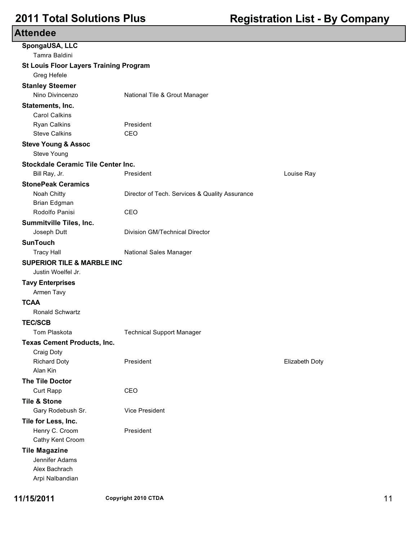| ៶៶៶៴៲៶៶៷៴៴                                           |                                                |                |
|------------------------------------------------------|------------------------------------------------|----------------|
| SpongaUSA, LLC                                       |                                                |                |
| Tamra Baldini                                        |                                                |                |
| <b>St Louis Floor Layers Training Program</b>        |                                                |                |
| Greg Hefele                                          |                                                |                |
| <b>Stanley Steemer</b>                               |                                                |                |
| Nino Divincenzo                                      | National Tile & Grout Manager                  |                |
| Statements, Inc.                                     |                                                |                |
| <b>Carol Calkins</b>                                 |                                                |                |
| Ryan Calkins<br><b>Steve Calkins</b>                 | President<br>CEO                               |                |
|                                                      |                                                |                |
| <b>Steve Young &amp; Assoc</b><br><b>Steve Young</b> |                                                |                |
| Stockdale Ceramic Tile Center Inc.                   |                                                |                |
| Bill Ray, Jr.                                        | President                                      | Louise Ray     |
| <b>StonePeak Ceramics</b>                            |                                                |                |
| Noah Chitty                                          | Director of Tech. Services & Quality Assurance |                |
| Brian Edgman                                         |                                                |                |
| Rodolfo Panisi                                       | CEO                                            |                |
| Summitville Tiles, Inc.                              |                                                |                |
| Joseph Dutt                                          | Division GM/Technical Director                 |                |
| <b>SunTouch</b>                                      |                                                |                |
| <b>Tracy Hall</b>                                    | National Sales Manager                         |                |
| <b>SUPERIOR TILE &amp; MARBLE INC</b>                |                                                |                |
| Justin Woelfel Jr.                                   |                                                |                |
| <b>Tavy Enterprises</b>                              |                                                |                |
| Armen Tavy                                           |                                                |                |
| <b>TCAA</b>                                          |                                                |                |
| Ronald Schwartz                                      |                                                |                |
| <b>TEC/SCB</b>                                       |                                                |                |
| Tom Plaskota                                         | <b>Technical Support Manager</b>               |                |
| <b>Texas Cement Products, Inc.</b>                   |                                                |                |
| Craig Doty                                           |                                                |                |
| <b>Richard Doty</b>                                  | President                                      | Elizabeth Doty |
| Alan Kin                                             |                                                |                |
| <b>The Tile Doctor</b>                               |                                                |                |
| Curt Rapp                                            | CEO                                            |                |
| <b>Tile &amp; Stone</b>                              |                                                |                |
| Gary Rodebush Sr.                                    | <b>Vice President</b>                          |                |
| Tile for Less, Inc.                                  |                                                |                |
| Henry C. Croom                                       | President                                      |                |
| Cathy Kent Croom                                     |                                                |                |
| <b>Tile Magazine</b>                                 |                                                |                |
| Jennifer Adams                                       |                                                |                |
| Alex Bachrach<br>Arpi Nalbandian                     |                                                |                |
|                                                      |                                                |                |

**11/15/2011 Copyright 2010 CTDA** 11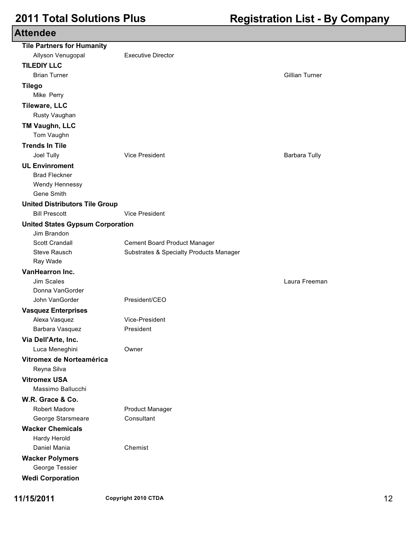### **Attendee Tile Partners for Humanity** Allyson Venugopal Executive Director **TILEDIY LLC** Brian Turner Gillian Turner **Tilego** Mike Perry **Tileware, LLC** Rusty Vaughan **TM Vaughn, LLC** Tom Vaughn **Trends In Tile** Joel Tully Vice President Barbara Tully **UL Envinroment** Brad Fleckner Wendy Hennessy Gene Smith **United Distributors Tile Group** Bill Prescott Vice President **United States Gypsum Corporation** Jim Brandon Scott Crandall **Cement Board Product Manager** Steve Rausch Substrates & Specialty Products Manager Ray Wade **VanHearron Inc.** Jim Scales Laura Freeman Donna VanGorder John VanGorder President/CEO **Vasquez Enterprises** Alexa Vasquez Vice-President Barbara Vasquez **President Via Dell'Arte, Inc.** Luca Meneghini Owner **Vitromex de Norteamérica** Reyna Silva **Vitromex USA** Massimo Ballucchi **W.R. Grace & Co.** Robert Madore **Product Manager** George Starsmeare **Consultant Wacker Chemicals** Hardy Herold Daniel Mania Chemist **Wacker Polymers** George Tessier **Wedi Corporation**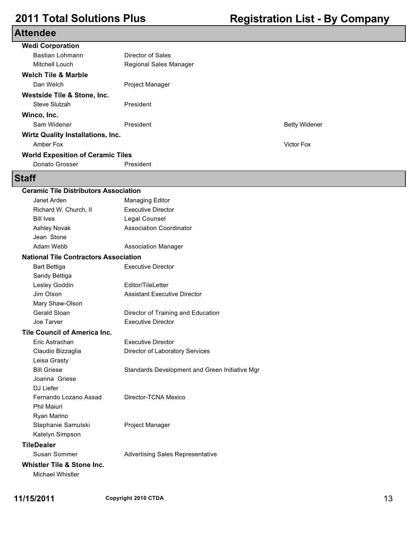| <b>Wedi Corporation</b>                  |                        |                      |  |
|------------------------------------------|------------------------|----------------------|--|
| Bastian Lohmann                          | Director of Sales      |                      |  |
| Mitchell Louch                           | Regional Sales Manager |                      |  |
| <b>Welch Tile &amp; Marble</b>           |                        |                      |  |
| Dan Welch                                | <b>Project Manager</b> |                      |  |
| Westside Tile & Stone, Inc.              |                        |                      |  |
| Steve Slutzah                            | President              |                      |  |
| Winco, Inc.                              |                        |                      |  |
| Sam Widener                              | President              | <b>Betty Widener</b> |  |
| <b>Wirtz Quality Installations, Inc.</b> |                        |                      |  |
| Amber Fox                                |                        | <b>Victor Fox</b>    |  |
| <b>World Exposition of Ceramic Tiles</b> |                        |                      |  |
| Donato Grosser                           | President              |                      |  |
|                                          |                        |                      |  |

### **Staff**

| <b>Ceramic Tile Distributors Association</b> |                                                |  |
|----------------------------------------------|------------------------------------------------|--|
| Janet Arden                                  | <b>Managing Editor</b>                         |  |
| Richard W. Church, II                        | <b>Executive Director</b>                      |  |
| <b>Bill Ives</b>                             | Legal Counsel                                  |  |
| Ashley Novak                                 | <b>Association Coordinator</b>                 |  |
| Jean Stone                                   |                                                |  |
| Adam Webb                                    | <b>Association Manager</b>                     |  |
| <b>National Tile Contractors Association</b> |                                                |  |
| <b>Bart Bettiga</b>                          | <b>Executive Director</b>                      |  |
| Sandy Bettiga                                |                                                |  |
| Lesley Goddin                                | Editor/TileLetter                              |  |
| Jim Olson                                    | <b>Assistant Executive Director</b>            |  |
| Mary Shaw-Olson                              |                                                |  |
| Gerald Sloan                                 | Director of Training and Education             |  |
| Joe Tarver                                   | <b>Executive Director</b>                      |  |
| <b>Tile Council of America Inc.</b>          |                                                |  |
| Eric Astrachan                               | <b>Executive Director</b>                      |  |
| Claudio Bizzaglia                            | Director of Laboratory Services                |  |
| Leisa Grasty                                 |                                                |  |
| <b>Bill Griese</b>                           | Standards Development and Green Initiative Mgr |  |
| Joanna Griese                                |                                                |  |
| DJ Liefer                                    |                                                |  |
| Fernando Lozano Assad                        | Director-TCNA Mexico                           |  |
| <b>Phil Maiuri</b>                           |                                                |  |
| Ryan Marino                                  |                                                |  |
| Stephanie Samulski                           | Project Manager                                |  |
| Katelyn Simpson                              |                                                |  |
| <b>TileDealer</b>                            |                                                |  |
| Susan Sommer                                 | <b>Advertising Sales Representative</b>        |  |
| <b>Whistler Tile &amp; Stone Inc.</b>        |                                                |  |
| Michael Whistler                             |                                                |  |
|                                              |                                                |  |